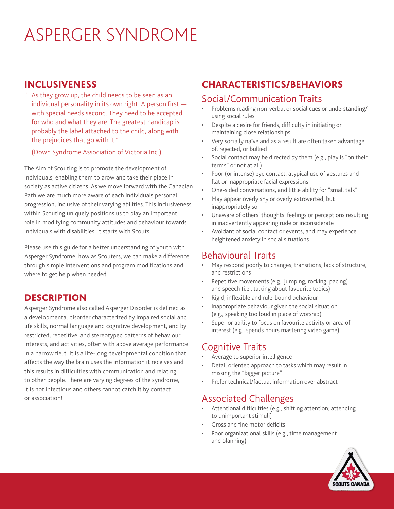# ASPERGER SYNDROME

#### INCLUSIVENESS

As they grow up, the child needs to be seen as an individual personality in its own right. A person first with special needs second. They need to be accepted for who and what they are. The greatest handicap is probably the label attached to the child, along with the prejudices that go with it."

(Down Syndrome Association of Victoria Inc.)

The Aim of Scouting is to promote the development of individuals, enabling them to grow and take their place in society as active citizens. As we move forward with the Canadian Path we are much more aware of each individuals personal progression, inclusive of their varying abilities. This inclusiveness within Scouting uniquely positions us to play an important role in modifying community attitudes and behaviour towards individuals with disabilities; it starts with Scouts.

Please use this guide for a better understanding of youth with Asperger Syndrome; how as Scouters, we can make a difference through simple interventions and program modifications and where to get help when needed.

# **DESCRIPTION**

Asperger Syndrome also called Asperger Disorder is defined as a developmental disorder characterized by impaired social and life skills, normal language and cognitive development, and by restricted, repetitive, and stereotyped patterns of behaviour, interests, and activities, often with above average performance in a narrow field. It is a life-long developmental condition that affects the way the brain uses the information it receives and this results in difficulties with communication and relating to other people. There are varying degrees of the syndrome, it is not infectious and others cannot catch it by contact or association!

# CHARACTERISTICS/BEHAVIORS

#### Social/Communication Traits

- Problems reading non-verbal or social cues or understanding/ using social rules
- Despite a desire for friends, difficulty in initiating or maintaining close relationships
- Very socially naïve and as a result are often taken advantage of, rejected, or bullied
- Social contact may be directed by them (e.g., play is "on their terms" or not at all)
- Poor (or intense) eye contact, atypical use of gestures and flat or inappropriate facial expressions
- One-sided conversations, and little ability for "small talk"
- May appear overly shy or overly extroverted, but inappropriately so
- Unaware of others' thoughts, feelings or perceptions resulting in inadvertently appearing rude or inconsiderate
- Avoidant of social contact or events, and may experience heightened anxiety in social situations

#### Behavioural Traits

- May respond poorly to changes, transitions, lack of structure, and restrictions
- Repetitive movements (e.g., jumping, rocking, pacing) and speech (i.e., talking about favourite topics)
- Rigid, inflexible and rule-bound behaviour
- Inappropriate behaviour given the social situation (e.g., speaking too loud in place of worship)
- Superior ability to focus on favourite activity or area of interest (e.g., spends hours mastering video game)

# Cognitive Traits

- Average to superior intelligence
- Detail oriented approach to tasks which may result in missing the "bigger picture"
- Prefer technical/factual information over abstract

# Associated Challenges

- Attentional difficulties (e.g., shifting attention; attending to unimportant stimuli)
- Gross and fine motor deficits
- Poor organizational skills (e.g., time management and planning)